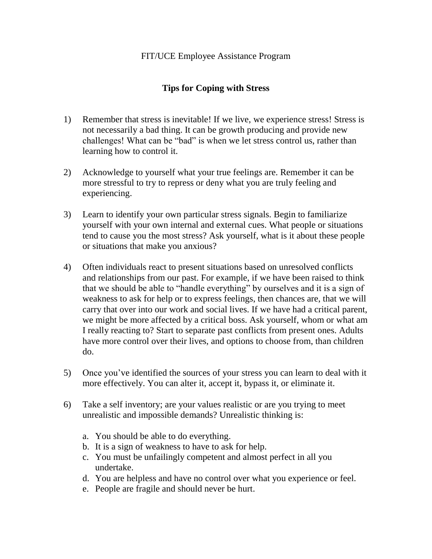## **Tips for Coping with Stress**

- 1) Remember that stress is inevitable! If we live, we experience stress! Stress is not necessarily a bad thing. It can be growth producing and provide new challenges! What can be "bad" is when we let stress control us, rather than learning how to control it.
- 2) Acknowledge to yourself what your true feelings are. Remember it can be more stressful to try to repress or deny what you are truly feeling and experiencing.
- 3) Learn to identify your own particular stress signals. Begin to familiarize yourself with your own internal and external cues. What people or situations tend to cause you the most stress? Ask yourself, what is it about these people or situations that make you anxious?
- 4) Often individuals react to present situations based on unresolved conflicts and relationships from our past. For example, if we have been raised to think that we should be able to "handle everything" by ourselves and it is a sign of weakness to ask for help or to express feelings, then chances are, that we will carry that over into our work and social lives. If we have had a critical parent, we might be more affected by a critical boss. Ask yourself, whom or what am I really reacting to? Start to separate past conflicts from present ones. Adults have more control over their lives, and options to choose from, than children do.
- 5) Once you've identified the sources of your stress you can learn to deal with it more effectively. You can alter it, accept it, bypass it, or eliminate it.
- 6) Take a self inventory; are your values realistic or are you trying to meet unrealistic and impossible demands? Unrealistic thinking is:
	- a. You should be able to do everything.
	- b. It is a sign of weakness to have to ask for help.
	- c. You must be unfailingly competent and almost perfect in all you undertake.
	- d. You are helpless and have no control over what you experience or feel.
	- e. People are fragile and should never be hurt.